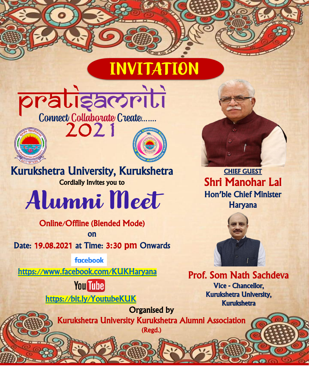## **INVITATION**





Kurukshetra University, Kurukshetra Cordially Invites you to

Alumni Meet

Online/Offline (Blended Mode) on

Date: 19.08.2021 at Time: 3:30 pm Onwards

<https://www.facebook.com/KUKHaryana>

**facebook** 

**You Tube** 

<https://bit.ly/YoutubeKUK>



CHIEF GUEST Shri Manohar Lal Hon'ble Chief Minister Haryana



Prof. Som Nath Sachdeva Vice - Chancellor, Kurukshetra University, Kurukshetra

Organised by Kurukshetra University Kurukshetra Alumni Association (Regd.)